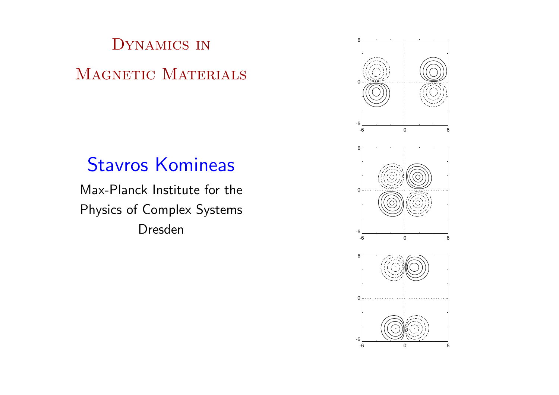# Dynamics in MAGNETIC MATERIALS

# Stavros Komineas

Max-Planck Institute for the Physics of Complex Systems Dresden





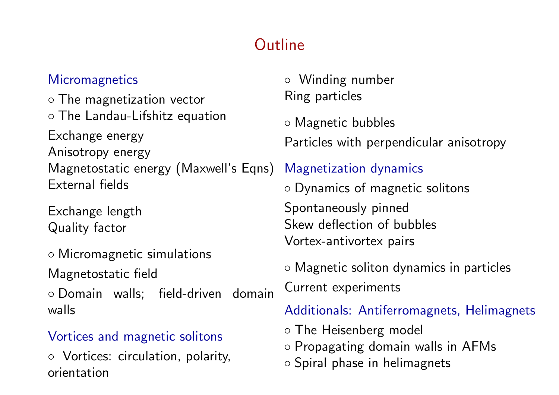# **Outline**

#### **Micromagnetics**

◦ The magnetization vector ◦ The Landau-Lifshitz equation Exchange energy Anisotropy energy Magnetostatic energy (Maxwell's Eqns) External fields

Exchange length Quality factor

◦ Micromagnetic simulations Magnetostatic field

◦ Domain walls; field-driven domain walls

## Vortices and magnetic solitons

◦ Vortices: circulation, polarity, orientation

◦ Winding number Ring particles

◦ Magnetic bubbles

Particles with perpendicular anisotropy

## Magnetization dynamics

◦ Dynamics of magnetic solitons

Spontaneously pinned Skew deflection of bubbles Vortex-antivortex pairs

◦ Magnetic soliton dynamics in particles

Current experiments

Additionals: Antiferromagnets, Helimagnets

◦ The Heisenberg model ◦ Propagating domain walls in AFMs ◦ Spiral phase in helimagnets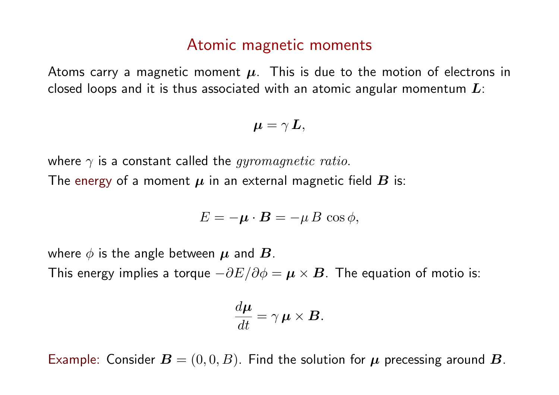# Atomic magnetic moments

Atoms carry a magnetic moment  $\mu$ . This is due to the motion of electrons in closed loops and it is thus associated with an atomic angular momentum  $L$ :

$$
\boldsymbol{\mu}=\gamma\,\boldsymbol{L},
$$

where  $\gamma$  is a constant called the *gyromagnetic ratio*. The energy of a moment  $\mu$  in an external magnetic field  $B$  is:

$$
E=-\boldsymbol{\mu}\cdot\boldsymbol{B}=-\mu\,B\,\cos\phi,
$$

where  $\phi$  is the angle between  $\mu$  and  $\bm{B}$ .

This energy implies a torque  $-\partial E/\partial \phi = \mu \times B$ . The equation of motio is:

$$
\frac{d\boldsymbol{\mu}}{dt} = \gamma \boldsymbol{\mu} \times \boldsymbol{B}.
$$

Example: Consider  $\boldsymbol{B} = (0,0,B)$ . Find the solution for  $\boldsymbol{\mu}$  precessing around  $\boldsymbol{B}$ .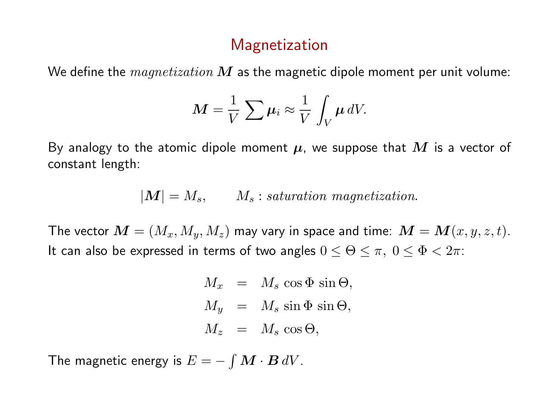# Magnetization

We define the  $magnetization$  M as the magnetic dipole moment per unit volume:

$$
M=\frac{1}{V}\sum \mu_i\approx \frac{1}{V}\int_V \mu\,dV.
$$

By analogy to the atomic dipole moment  $\mu$ , we suppose that M is a vector of constant length:

$$
|\boldsymbol{M}|=M_s,\qquad M_s: saturation\,\, magnetization.
$$

The vector  $\mathbf{M} = (M_x, M_y, M_z)$  may vary in space and time:  $\mathbf{M} = \mathbf{M}(x, y, z, t)$ . It can also be expressed in terms of two angles  $0 \le \Theta \le \pi$ ,  $0 \le \Phi < 2\pi$ :

$$
M_x = M_s \cos \Phi \sin \Theta,
$$
  
\n
$$
M_y = M_s \sin \Phi \sin \Theta,
$$
  
\n
$$
M_z = M_s \cos \Theta,
$$

The magnetic energy is  $E = - \int \bm{M} \cdot \bm{B} \, dV.$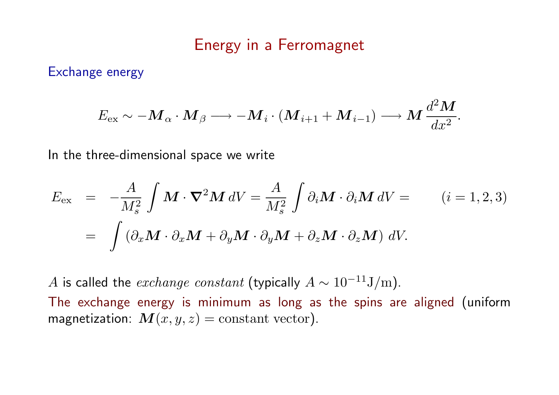#### Energy in a Ferromagnet

Exchange energy

$$
E_{\rm ex} \sim -\boldsymbol{M}_{\alpha} \cdot \boldsymbol{M}_{\beta} \longrightarrow -\boldsymbol{M}_{i} \cdot (\boldsymbol{M}_{i+1} + \boldsymbol{M}_{i-1}) \longrightarrow \boldsymbol{M} \frac{d^{2} \boldsymbol{M}}{dx^{2}}.
$$

In the three-dimensional space we write

$$
E_{\text{ex}} = -\frac{A}{M_s^2} \int \mathbf{M} \cdot \nabla^2 \mathbf{M} \, dV = \frac{A}{M_s^2} \int \partial_i \mathbf{M} \cdot \partial_i \mathbf{M} \, dV = \qquad (i = 1, 2, 3)
$$
  
= 
$$
\int \left( \partial_x \mathbf{M} \cdot \partial_x \mathbf{M} + \partial_y \mathbf{M} \cdot \partial_y \mathbf{M} + \partial_z \mathbf{M} \cdot \partial_z \mathbf{M} \right) \, dV.
$$

A is called the *exchange constant* (typically  $A \sim 10^{-11} J/m$ ). The exchange energy is minimum as long as the spins are aligned (uniform magnetization:  $M(x, y, z) = \text{constant vector}$ .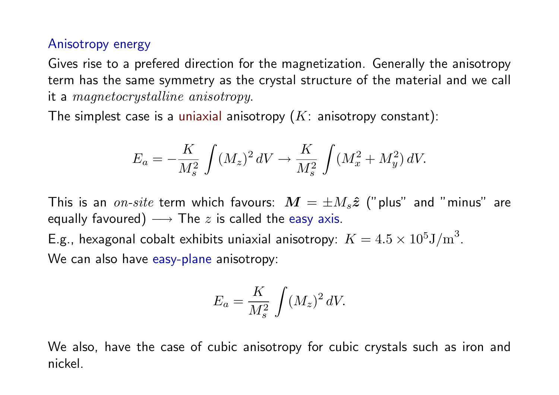#### Anisotropy energy

Gives rise to a prefered direction for the magnetization. Generally the anisotropy term has the same symmetry as the crystal structure of the material and we call it a magnetocrystalline anisotropy.

The simplest case is a uniaxial anisotropy  $(K:$  anisotropy constant):

$$
E_a = -\frac{K}{M_s^2} \int (M_z)^2 \, dV \to \frac{K}{M_s^2} \int (M_x^2 + M_y^2) \, dV.
$$

This is an  $\emph{on-site}$  term which favours:  $\emph{\textbf{M}}=\pm M_s\hat{\pmb{z}}$  ("plus" and "minus" are equally favoured)  $\longrightarrow$  The  $z$  is called the easy axis.

E.g., hexagonal cobalt exhibits uniaxial anisotropy:  $K = 4.5 \times 10^5 \mathrm{J/m}^3$ . We can also have easy-plane anisotropy:

$$
E_a = \frac{K}{M_s^2} \int (M_z)^2 dV.
$$

We also, have the case of cubic anisotropy for cubic crystals such as iron and nickel.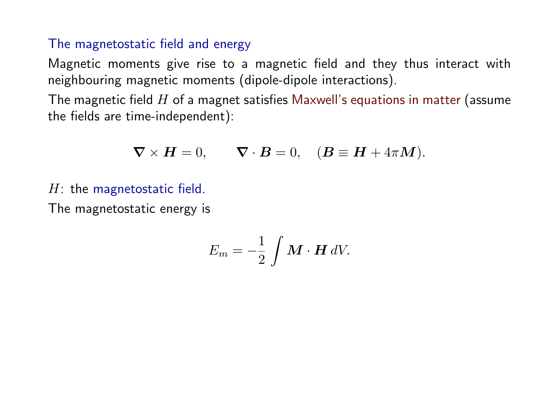#### The magnetostatic field and energy

Magnetic moments give rise to a magnetic field and they thus interact with neighbouring magnetic moments (dipole-dipole interactions).

The magnetic field  $H$  of a magnet satisfies Maxwell's equations in matter (assume the fields are time-independent):

$$
\nabla \times H = 0
$$
,  $\nabla \cdot B = 0$ ,  $(B \equiv H + 4\pi M)$ .

 $H$ : the magnetostatic field.

The magnetostatic energy is

$$
E_m=-\frac{1}{2}\,\int \boldsymbol{M}\cdot\boldsymbol{H}\,dV.
$$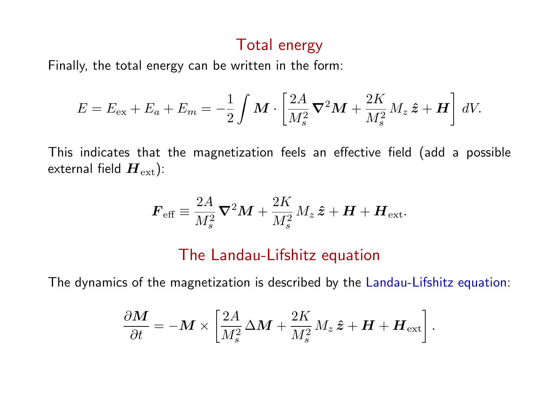# Total energy

Finally, the total energy can be written in the form:

$$
E = E_{\text{ex}} + E_a + E_m = -\frac{1}{2} \int \mathbf{M} \cdot \left[ \frac{2A}{M_s^2} \mathbf{\nabla}^2 \mathbf{M} + \frac{2K}{M_s^2} M_z \hat{\mathbf{z}} + \mathbf{H} \right] dV.
$$

This indicates that the magnetization feels an effective field (add a possible external field  $\boldsymbol{H}_{\text{ext}}$ ):

$$
\boldsymbol{F}_{\text{eff}} \equiv \frac{2A}{M_s^2} \boldsymbol{\nabla}^2 \boldsymbol{M} + \frac{2K}{M_s^2} M_z \,\hat{\boldsymbol{z}} + \boldsymbol{H} + \boldsymbol{H}_{\text{ext}}.
$$

#### The Landau-Lifshitz equation

The dynamics of the magnetization is described by the Landau-Lifshitz equation:

$$
\frac{\partial \boldsymbol{M}}{\partial t} = -\boldsymbol{M} \times \left[ \frac{2A}{M_s^2} \Delta \boldsymbol{M} + \frac{2K}{M_s^2} M_z \, \hat{\boldsymbol{z}} + \boldsymbol{H} + \boldsymbol{H}_{\text{ext}} \right].
$$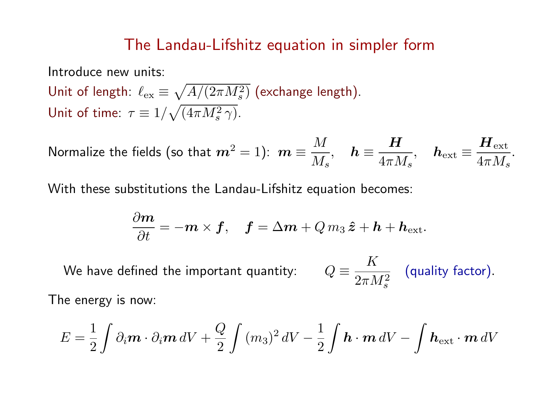## The Landau-Lifshitz equation in simpler form

Introduce new units:

Unit of length:  $\ell_{\rm ex}$   $\equiv$ p  $A/(2\pi M_s^2)$  (exchange length). Unit of time:  $\tau \equiv 1/\sqrt{(4\pi M_s^2 \gamma)}$ .  $\frac{1}{2}$ 

$$
\text{Normalize the fields (so that } \bm{m}^2 = 1): \ \bm{m} \equiv \frac{M}{M_s}, \quad \bm{h} \equiv \frac{\bm{H}}{4\pi M_s}, \quad \bm{h}_{\rm ext} \equiv \frac{\bm{H}_{\rm ext}}{4\pi M_s}.
$$

With these substitutions the Landau-Lifshitz equation becomes:

$$
\frac{\partial \boldsymbol{m}}{\partial t}=-\boldsymbol{m}\times\boldsymbol{f},\quad \boldsymbol{f}=\Delta\boldsymbol{m}+Q\,m_3\,\boldsymbol{\hat{z}}+\boldsymbol{h}+\boldsymbol{h}_{\mathrm{ext}}.
$$

We have defined the important quantity: K  $2\pi M_s^2$ (quality factor). The energy is now:

$$
E = \frac{1}{2} \int \partial_i \mathbf{m} \cdot \partial_i \mathbf{m} \, dV + \frac{Q}{2} \int (m_3)^2 \, dV - \frac{1}{2} \int \mathbf{h} \cdot \mathbf{m} \, dV - \int \mathbf{h}_{\text{ext}} \cdot \mathbf{m} \, dV
$$